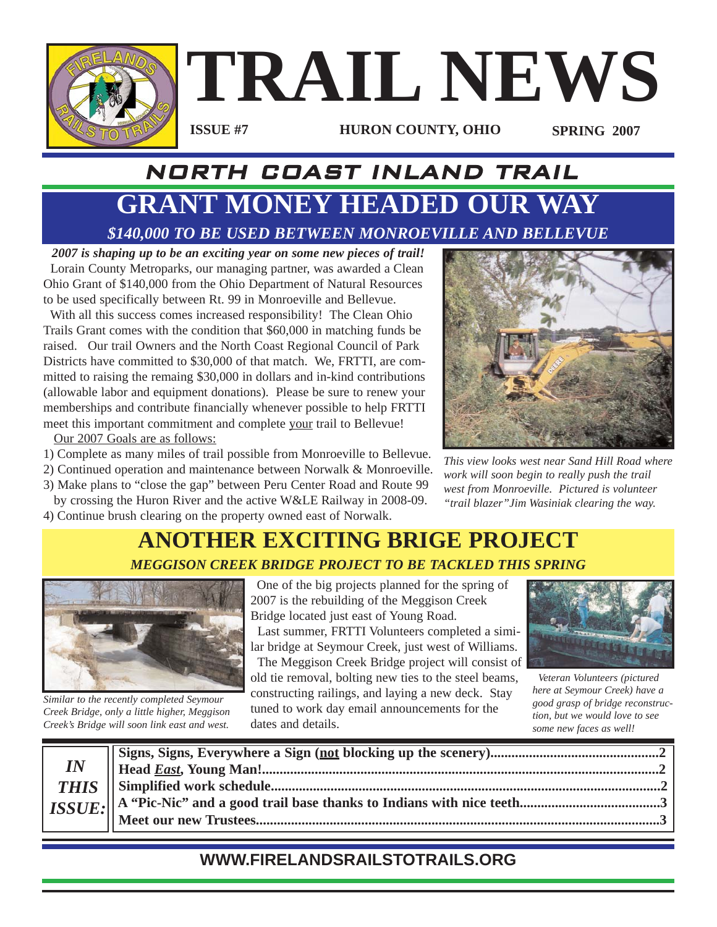

# NORTH COAST INLAND TRAIL **GRANT MONEY HEADED OUR WAY** *\$140,000 TO BE USED BETWEEN MONROEVILLE AND BELLEVUE*

*2007 is shaping up to be an exciting year on some new pieces of trail!*  Lorain County Metroparks, our managing partner, was awarded a Clean Ohio Grant of \$140,000 from the Ohio Department of Natural Resources to be used specifically between Rt. 99 in Monroeville and Bellevue.

With all this success comes increased responsibility! The Clean Ohio Trails Grant comes with the condition that \$60,000 in matching funds be raised. Our trail Owners and the North Coast Regional Council of Park Districts have committed to \$30,000 of that match. We, FRTTI, are committed to raising the remaing \$30,000 in dollars and in-kind contributions (allowable labor and equipment donations). Please be sure to renew your memberships and contribute financially whenever possible to help FRTTI meet this important commitment and complete your trail to Bellevue!

Our 2007 Goals are as follows:

1) Complete as many miles of trail possible from Monroeville to Bellevue.

2) Continued operation and maintenance between Norwalk & Monroeville.

3) Make plans to "close the gap" between Peru Center Road and Route 99

by crossing the Huron River and the active W&LE Railway in 2008-09. 4) Continue brush clearing on the property owned east of Norwalk.



*This view looks west near Sand Hill Road where work will soon begin to really push the trail west from Monroeville. Pictured is volunteer "trail blazer"Jim Wasiniak clearing the way.*

## **ANOTHER EXCITING BRIGE PROJECT** *MEGGISON CREEK BRIDGE PROJECT TO BE TACKLED THIS SPRING*



*Similar to the recently completed Seymour Creek Bridge, only a little higher, Meggison Creek's Bridge will soon link east and west.*

One of the big projects planned for the spring of 2007 is the rebuilding of the Meggison Creek Bridge located just east of Young Road. Last summer, FRTTI Volunteers completed a similar bridge at Seymour Creek, just west of Williams. The Meggison Creek Bridge project will consist of old tie removal, bolting new ties to the steel beams, constructing railings, and laying a new deck. Stay tuned to work day email announcements for the dates and details.



*Veteran Volunteers (pictured here at Seymour Creek) have a good grasp of bridge reconstruction, but we would love to see some new faces as well!*

| $I\!N$ |  |
|--------|--|
|        |  |
|        |  |
|        |  |
|        |  |

### **WWW.FIRELANDSRAILSTOTRAILS.ORG**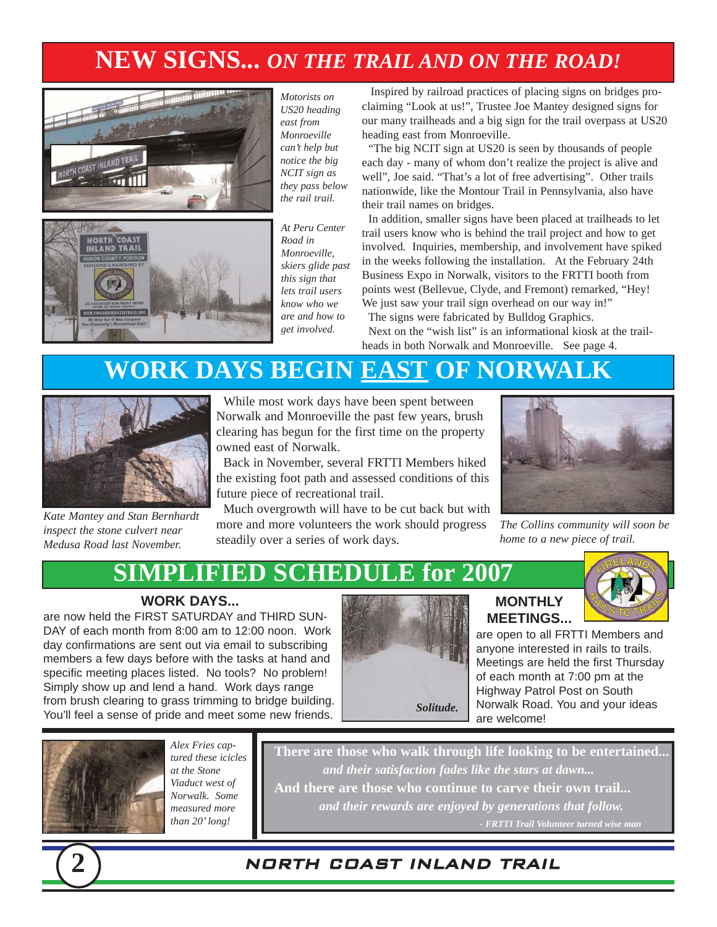# **NEW SIGNS...** *ON THE TRAIL AND ON THE ROAD!*





*Motorists on US20 heading east from Monroeville can't help but notice the big NCIT sign as they pass below the rail trail.* 

*At Peru Center Road in Monroeville, skiers glide past this sign that lets trail users know who we are and how to get involved.* 

Inspired by railroad practices of placing signs on bridges proclaiming "Look at us!", Trustee Joe Mantey designed signs for our many trailheads and a big sign for the trail overpass at US20 heading east from Monroeville.

"The big NCIT sign at US20 is seen by thousands of people each day - many of whom don't realize the project is alive and well", Joe said. "That's a lot of free advertising". Other trails nationwide, like the Montour Trail in Pennsylvania, also have their trail names on bridges.

In addition, smaller signs have been placed at trailheads to let trail users know who is behind the trail project and how to get involved. Inquiries, membership, and involvement have spiked in the weeks following the installation. At the February 24th Business Expo in Norwalk, visitors to the FRTTI booth from points west (Bellevue, Clyde, and Fremont) remarked, "Hey! We just saw your trail sign overhead on our way in!" The signs were fabricated by Bulldog Graphics.

Next on the "wish list" is an informational kiosk at the trailheads in both Norwalk and Monroeville. See page 4.

# **WORK DAYS BEGIN EAST OF NORWALK**



*Kate Mantey and Stan Bernhardt inspect the stone culvert near Medusa Road last November.*

While most work days have been spent between Norwalk and Monroeville the past few years, brush clearing has begun for the first time on the property owned east of Norwalk.

Back in November, several FRTTI Members hiked the existing foot path and assessed conditions of this future piece of recreational trail.

Much overgrowth will have to be cut back but with more and more volunteers the work should progress steadily over a series of work days.



*The Collins community will soon be home to a new piece of trail.* 

**SIMPLIFIED SCHEDULE for 2007**

#### **WORK DAYS...**

are now held the FIRST SATURDAY and THIRD SUN-DAY of each month from 8:00 am to 12:00 noon. Work day confirmations are sent out via email to subscribing members a few days before with the tasks at hand and specific meeting places listed. No tools? No problem! Simply show up and lend a hand. Work days range from brush clearing to grass trimming to bridge building. You'll feel a sense of pride and meet some new friends.



**MONTHLY MEETINGS...**



are open to all FRTTI Members and anyone interested in rails to trails. Meetings are held the first Thursday of each month at 7:00 pm at the Highway Patrol Post on South Norwalk Road. You and your ideas are welcome!



*Alex Fries captured these icicles at the Stone Viaduct west of Norwalk. Some measured more than 20' long!*

**There are those who walk through life looking to be entertained...** *and their satisfaction fades like the stars at dawn...* **And there are those who continue to carve their own trail...** *and their rewards are enjoyed by generations that follow. - FRTTI Trail Volunteer turned wise man*

## **2** NORTH COAST INLAND TRAIL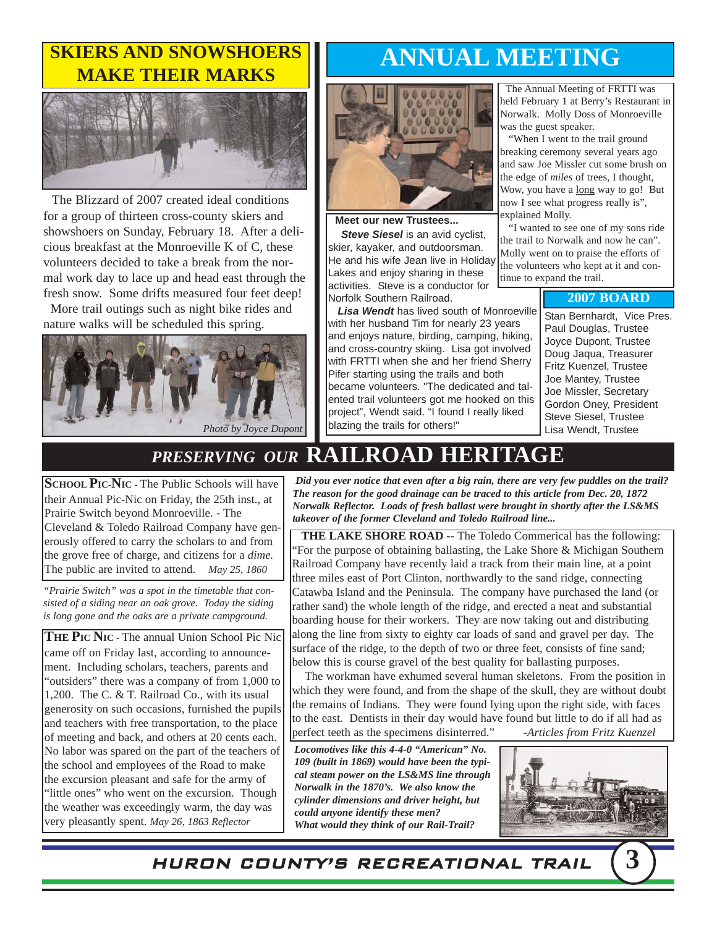### **SKIERS AND SNOWSHOERS MAKE THEIR MARKS**



The Blizzard of 2007 created ideal conditions for a group of thirteen cross-county skiers and showshoers on Sunday, February 18. After a delicious breakfast at the Monroeville K of C, these volunteers decided to take a break from the normal work day to lace up and head east through the fresh snow. Some drifts measured four feet deep!

More trail outings such as night bike rides and nature walks will be scheduled this spring.



# **ANNUAL MEETING**



**Meet our new Trustees...**

*Steve Siesel* is an avid cyclist. skier, kayaker, and outdoorsman. He and his wife Jean live in Holiday Lakes and enjoy sharing in these activities. Steve is a conductor for Norfolk Southern Railroad.

*Lisa Wendt* has lived south of Monroeville with her husband Tim for nearly 23 years and enjoys nature, birding, camping, hiking, and cross-country skiing. Lisa got involved with FRTTI when she and her friend Sherry Pifer starting using the trails and both became volunteers. "The dedicated and talented trail volunteers got me hooked on this project", Wendt said. "I found I really liked blazing the trails for others!"

The Annual Meeting of FRTTI was held February 1 at Berry's Restaurant in Norwalk. Molly Doss of Monroeville was the guest speaker.

"When I went to the trail ground breaking ceremony several years ago and saw Joe Missler cut some brush on the edge of *miles* of trees, I thought, Wow, you have a long way to go! But now I see what progress really is", explained Molly.

"I wanted to see one of my sons ride the trail to Norwalk and now he can". Molly went on to praise the efforts of the volunteers who kept at it and continue to expand the trail.

#### **2007 BOARD**

Stan Bernhardt, Vice Pres. Paul Douglas, Trustee Joyce Dupont, Trustee Doug Jaqua, Treasurer Fritz Kuenzel, Trustee Joe Mantey, Trustee Joe Missler, Secretary Gordon Oney, President Steve Siesel, Trustee Lisa Wendt, Trustee

# *PRESERVING OUR* **RAILROAD HERITAGE**

**SCHOOL PIC-NIC - The Public Schools will have** their Annual Pic-Nic on Friday, the 25th inst., at Prairie Switch beyond Monroeville. - The Cleveland & Toledo Railroad Company have generously offered to carry the scholars to and from the grove free of charge, and citizens for a *dime.* The public are invited to attend. *May 25, 1860*

*"Prairie Switch" was a spot in the timetable that consisted of a siding near an oak grove. Today the siding is long gone and the oaks are a private campground.*

**THE PIC NIC -** The annual Union School Pic Nic came off on Friday last, according to announcement. Including scholars, teachers, parents and 'outsiders'' there was a company of from 1,000 to 1,200. The C. & T. Railroad Co., with its usual generosity on such occasions, furnished the pupils and teachers with free transportation, to the place of meeting and back, and others at 20 cents each. No labor was spared on the part of the teachers of the school and employees of the Road to make the excursion pleasant and safe for the army of "little ones" who went on the excursion. Though the weather was exceedingly warm, the day was very pleasantly spent. *May 26, 1863 Reflector*

*Did you ever notice that even after a big rain, there are very few puddles on the trail? The reason for the good drainage can be traced to this article from Dec. 20, 1872 Norwalk Reflector. Loads of fresh ballast were brought in shortly after the LS&MS takeover of the former Cleveland and Toledo Railroad line...*

**THE LAKE SHORE ROAD --** The Toledo Commerical has the following: "For the purpose of obtaining ballasting, the Lake Shore & Michigan Southern Railroad Company have recently laid a track from their main line, at a point three miles east of Port Clinton, northwardly to the sand ridge, connecting Catawba Island and the Peninsula. The company have purchased the land (or rather sand) the whole length of the ridge, and erected a neat and substantial boarding house for their workers. They are now taking out and distributing along the line from sixty to eighty car loads of sand and gravel per day. The surface of the ridge, to the depth of two or three feet, consists of fine sand; below this is course gravel of the best quality for ballasting purposes.

The workman have exhumed several human skeletons. From the position in which they were found, and from the shape of the skull, they are without doubt the remains of Indians. They were found lying upon the right side, with faces to the east. Dentists in their day would have found but little to do if all had as perfect teeth as the specimens disinterred." *-Articles from Fritz Kuenzel* 

*Locomotives like this 4-4-0 "American" No. 109 (built in 1869) would have been the typical steam power on the LS&MS line through Norwalk in the 1870's. We also know the cylinder dimensions and driver height, but could anyone identify these men? What would they think of our Rail-Trail?*



HURON COUNTY'S RECREATIONAL TRAIL **3**